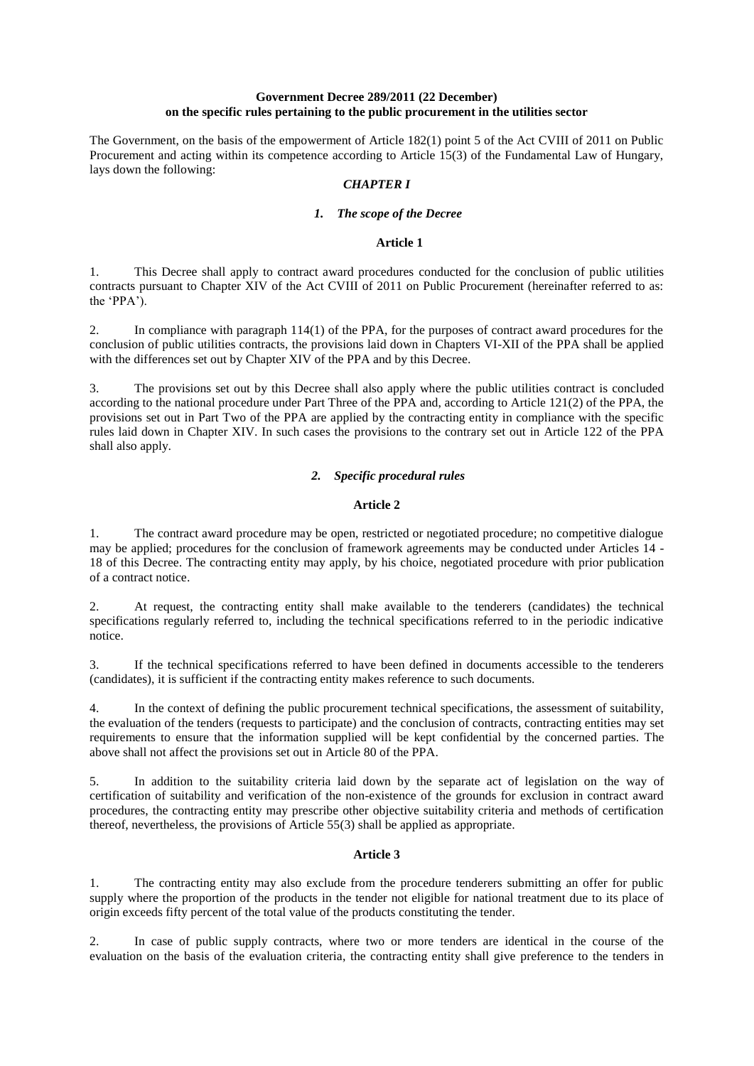#### **Government Decree 289/2011 (22 December) on the specific rules pertaining to the public procurement in the utilities sector**

The Government, on the basis of the empowerment of Article 182(1) point 5 of the Act CVIII of 2011 on Public Procurement and acting within its competence according to Article 15(3) of the Fundamental Law of Hungary, lays down the following:

### *CHAPTER I*

### *1. The scope of the Decree*

#### **Article 1**

1. This Decree shall apply to contract award procedures conducted for the conclusion of public utilities contracts pursuant to Chapter XIV of the Act CVIII of 2011 on Public Procurement (hereinafter referred to as: the 'PPA $\overline{y}$ .

2. In compliance with paragraph 114(1) of the PPA, for the purposes of contract award procedures for the conclusion of public utilities contracts, the provisions laid down in Chapters VI-XII of the PPA shall be applied with the differences set out by Chapter XIV of the PPA and by this Decree.

3. The provisions set out by this Decree shall also apply where the public utilities contract is concluded according to the national procedure under Part Three of the PPA and, according to Article 121(2) of the PPA, the provisions set out in Part Two of the PPA are applied by the contracting entity in compliance with the specific rules laid down in Chapter XIV. In such cases the provisions to the contrary set out in Article 122 of the PPA shall also apply.

## *2. Specific procedural rules*

## **Article 2**

1. The contract award procedure may be open, restricted or negotiated procedure; no competitive dialogue may be applied; procedures for the conclusion of framework agreements may be conducted under Articles 14 - 18 of this Decree. The contracting entity may apply, by his choice, negotiated procedure with prior publication of a contract notice.

2. At request, the contracting entity shall make available to the tenderers (candidates) the technical specifications regularly referred to, including the technical specifications referred to in the periodic indicative notice.

3. If the technical specifications referred to have been defined in documents accessible to the tenderers (candidates), it is sufficient if the contracting entity makes reference to such documents.

4. In the context of defining the public procurement technical specifications, the assessment of suitability, the evaluation of the tenders (requests to participate) and the conclusion of contracts, contracting entities may set requirements to ensure that the information supplied will be kept confidential by the concerned parties. The above shall not affect the provisions set out in Article 80 of the PPA.

5. In addition to the suitability criteria laid down by the separate act of legislation on the way of certification of suitability and verification of the non-existence of the grounds for exclusion in contract award procedures, the contracting entity may prescribe other objective suitability criteria and methods of certification thereof, nevertheless, the provisions of Article 55(3) shall be applied as appropriate.

## **Article 3**

1. The contracting entity may also exclude from the procedure tenderers submitting an offer for public supply where the proportion of the products in the tender not eligible for national treatment due to its place of origin exceeds fifty percent of the total value of the products constituting the tender.

2. In case of public supply contracts, where two or more tenders are identical in the course of the evaluation on the basis of the evaluation criteria, the contracting entity shall give preference to the tenders in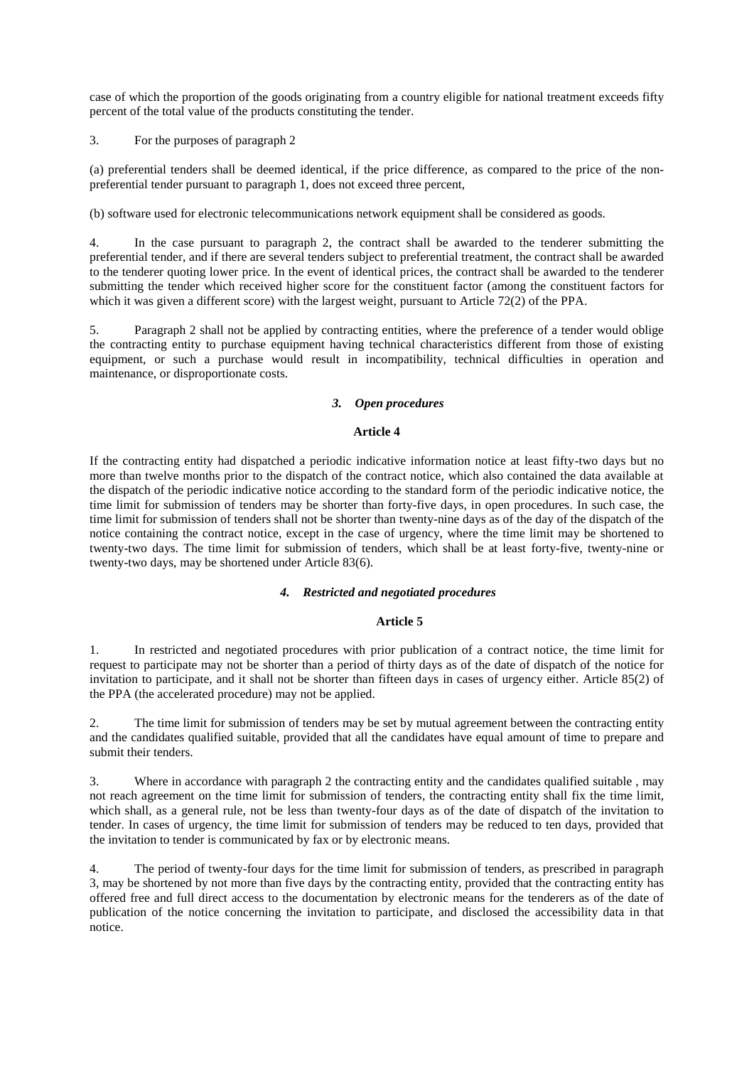case of which the proportion of the goods originating from a country eligible for national treatment exceeds fifty percent of the total value of the products constituting the tender.

3. For the purposes of paragraph 2

(a) preferential tenders shall be deemed identical, if the price difference, as compared to the price of the nonpreferential tender pursuant to paragraph 1, does not exceed three percent,

(b) software used for electronic telecommunications network equipment shall be considered as goods.

4. In the case pursuant to paragraph 2, the contract shall be awarded to the tenderer submitting the preferential tender, and if there are several tenders subject to preferential treatment, the contract shall be awarded to the tenderer quoting lower price. In the event of identical prices, the contract shall be awarded to the tenderer submitting the tender which received higher score for the constituent factor (among the constituent factors for which it was given a different score) with the largest weight, pursuant to Article 72(2) of the PPA.

5. Paragraph 2 shall not be applied by contracting entities, where the preference of a tender would oblige the contracting entity to purchase equipment having technical characteristics different from those of existing equipment, or such a purchase would result in incompatibility, technical difficulties in operation and maintenance, or disproportionate costs.

### *3. Open procedures*

#### **Article 4**

If the contracting entity had dispatched a periodic indicative information notice at least fifty-two days but no more than twelve months prior to the dispatch of the contract notice, which also contained the data available at the dispatch of the periodic indicative notice according to the standard form of the periodic indicative notice, the time limit for submission of tenders may be shorter than forty-five days, in open procedures. In such case, the time limit for submission of tenders shall not be shorter than twenty-nine days as of the day of the dispatch of the notice containing the contract notice, except in the case of urgency, where the time limit may be shortened to twenty-two days. The time limit for submission of tenders, which shall be at least forty-five, twenty-nine or twenty-two days, may be shortened under Article 83(6).

#### *4. Restricted and negotiated procedures*

#### **Article 5**

1. In restricted and negotiated procedures with prior publication of a contract notice, the time limit for request to participate may not be shorter than a period of thirty days as of the date of dispatch of the notice for invitation to participate, and it shall not be shorter than fifteen days in cases of urgency either. Article 85(2) of the PPA (the accelerated procedure) may not be applied.

2. The time limit for submission of tenders may be set by mutual agreement between the contracting entity and the candidates qualified suitable, provided that all the candidates have equal amount of time to prepare and submit their tenders.

3. Where in accordance with paragraph 2 the contracting entity and the candidates qualified suitable , may not reach agreement on the time limit for submission of tenders, the contracting entity shall fix the time limit, which shall, as a general rule, not be less than twenty-four days as of the date of dispatch of the invitation to tender. In cases of urgency, the time limit for submission of tenders may be reduced to ten days, provided that the invitation to tender is communicated by fax or by electronic means.

4. The period of twenty-four days for the time limit for submission of tenders, as prescribed in paragraph 3, may be shortened by not more than five days by the contracting entity, provided that the contracting entity has offered free and full direct access to the documentation by electronic means for the tenderers as of the date of publication of the notice concerning the invitation to participate, and disclosed the accessibility data in that notice.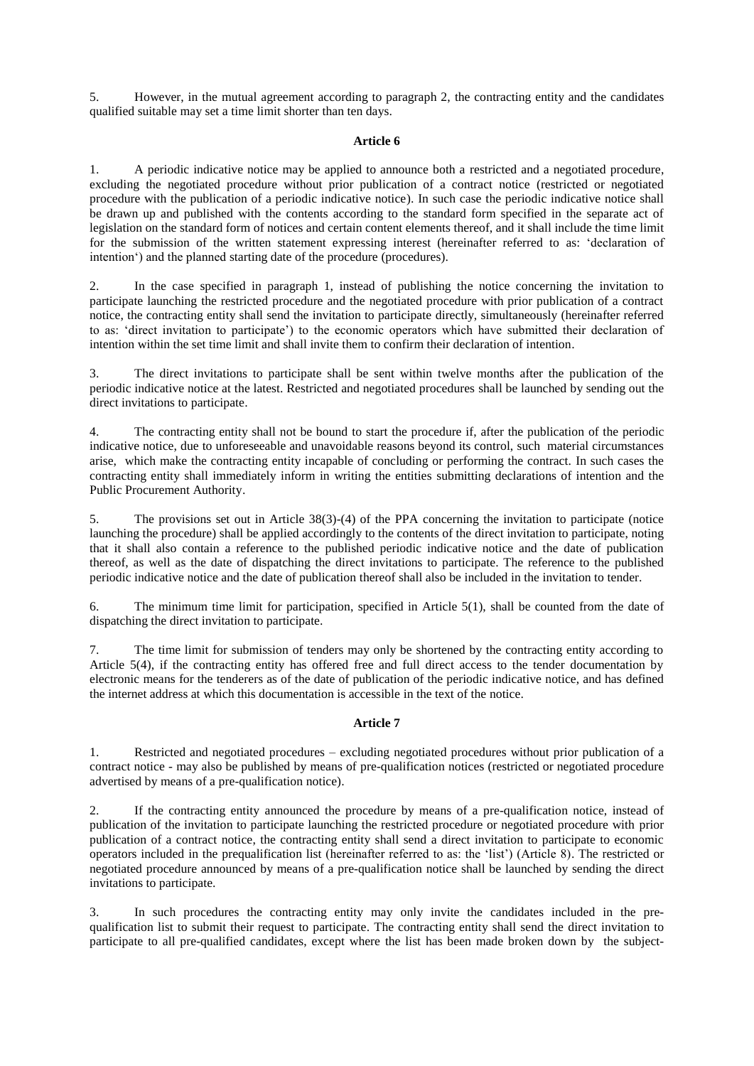5. However, in the mutual agreement according to paragraph 2, the contracting entity and the candidates qualified suitable may set a time limit shorter than ten days.

## **Article 6**

1. A periodic indicative notice may be applied to announce both a restricted and a negotiated procedure, excluding the negotiated procedure without prior publication of a contract notice (restricted or negotiated procedure with the publication of a periodic indicative notice). In such case the periodic indicative notice shall be drawn up and published with the contents according to the standard form specified in the separate act of legislation on the standard form of notices and certain content elements thereof, and it shall include the time limit for the submission of the written statement expressing interest (hereinafter referred to as: 'declaration of intention') and the planned starting date of the procedure (procedures).

2. In the case specified in paragraph 1, instead of publishing the notice concerning the invitation to participate launching the restricted procedure and the negotiated procedure with prior publication of a contract notice, the contracting entity shall send the invitation to participate directly, simultaneously (hereinafter referred to as: 'direct invitation to participate') to the economic operators which have submitted their declaration of intention within the set time limit and shall invite them to confirm their declaration of intention.

3. The direct invitations to participate shall be sent within twelve months after the publication of the periodic indicative notice at the latest. Restricted and negotiated procedures shall be launched by sending out the direct invitations to participate.

4. The contracting entity shall not be bound to start the procedure if, after the publication of the periodic indicative notice, due to unforeseeable and unavoidable reasons beyond its control, such material circumstances arise, which make the contracting entity incapable of concluding or performing the contract. In such cases the contracting entity shall immediately inform in writing the entities submitting declarations of intention and the Public Procurement Authority.

5. The provisions set out in Article 38(3)-(4) of the PPA concerning the invitation to participate (notice launching the procedure) shall be applied accordingly to the contents of the direct invitation to participate, noting that it shall also contain a reference to the published periodic indicative notice and the date of publication thereof, as well as the date of dispatching the direct invitations to participate. The reference to the published periodic indicative notice and the date of publication thereof shall also be included in the invitation to tender.

6. The minimum time limit for participation, specified in Article 5(1), shall be counted from the date of dispatching the direct invitation to participate.

7. The time limit for submission of tenders may only be shortened by the contracting entity according to Article 5(4), if the contracting entity has offered free and full direct access to the tender documentation by electronic means for the tenderers as of the date of publication of the periodic indicative notice, and has defined the internet address at which this documentation is accessible in the text of the notice.

## **Article 7**

1. Restricted and negotiated procedures – excluding negotiated procedures without prior publication of a contract notice - may also be published by means of pre-qualification notices (restricted or negotiated procedure advertised by means of a pre-qualification notice).

2. If the contracting entity announced the procedure by means of a pre-qualification notice, instead of publication of the invitation to participate launching the restricted procedure or negotiated procedure with prior publication of a contract notice, the contracting entity shall send a direct invitation to participate to economic operators included in the prequalification list (hereinafter referred to as: the 'list') (Article 8). The restricted or negotiated procedure announced by means of a pre-qualification notice shall be launched by sending the direct invitations to participate.

3. In such procedures the contracting entity may only invite the candidates included in the prequalification list to submit their request to participate. The contracting entity shall send the direct invitation to participate to all pre-qualified candidates, except where the list has been made broken down by the subject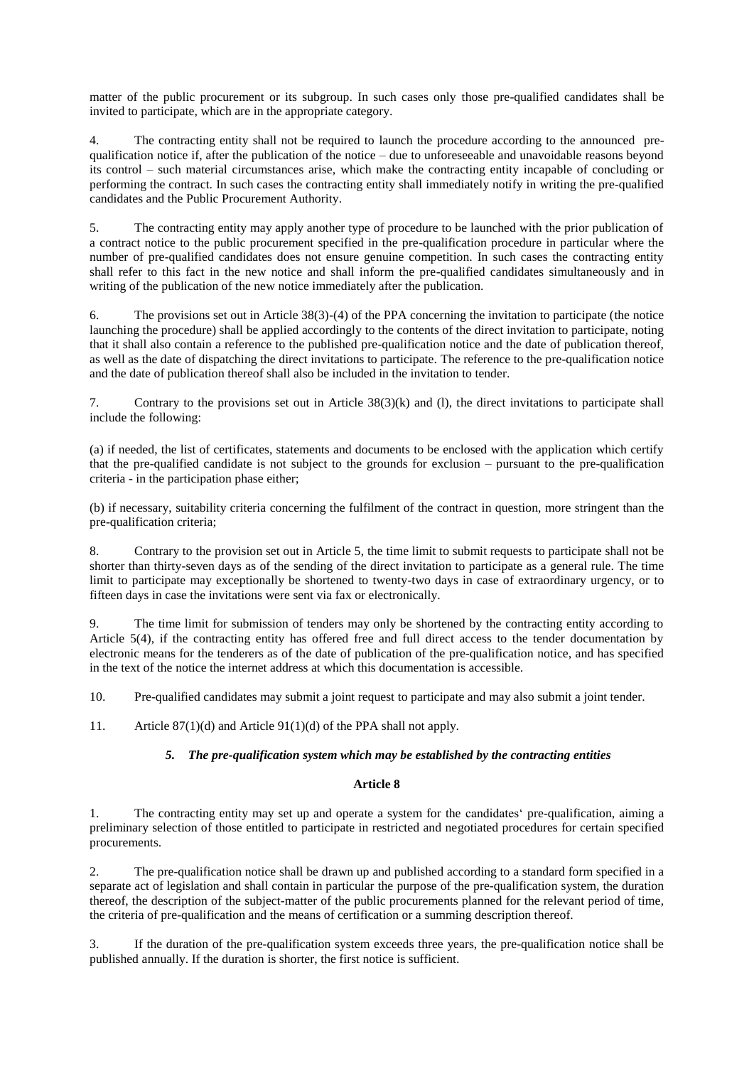matter of the public procurement or its subgroup. In such cases only those pre-qualified candidates shall be invited to participate, which are in the appropriate category.

4. The contracting entity shall not be required to launch the procedure according to the announced prequalification notice if, after the publication of the notice – due to unforeseeable and unavoidable reasons beyond its control – such material circumstances arise, which make the contracting entity incapable of concluding or performing the contract. In such cases the contracting entity shall immediately notify in writing the pre-qualified candidates and the Public Procurement Authority.

5. The contracting entity may apply another type of procedure to be launched with the prior publication of a contract notice to the public procurement specified in the pre-qualification procedure in particular where the number of pre-qualified candidates does not ensure genuine competition. In such cases the contracting entity shall refer to this fact in the new notice and shall inform the pre-qualified candidates simultaneously and in writing of the publication of the new notice immediately after the publication.

6. The provisions set out in Article 38(3)-(4) of the PPA concerning the invitation to participate (the notice launching the procedure) shall be applied accordingly to the contents of the direct invitation to participate, noting that it shall also contain a reference to the published pre-qualification notice and the date of publication thereof, as well as the date of dispatching the direct invitations to participate. The reference to the pre-qualification notice and the date of publication thereof shall also be included in the invitation to tender.

7. Contrary to the provisions set out in Article 38(3)(k) and (l), the direct invitations to participate shall include the following:

(a) if needed, the list of certificates, statements and documents to be enclosed with the application which certify that the pre-qualified candidate is not subject to the grounds for exclusion – pursuant to the pre-qualification criteria - in the participation phase either;

(b) if necessary, suitability criteria concerning the fulfilment of the contract in question, more stringent than the pre-qualification criteria;

8. Contrary to the provision set out in Article 5, the time limit to submit requests to participate shall not be shorter than thirty-seven days as of the sending of the direct invitation to participate as a general rule. The time limit to participate may exceptionally be shortened to twenty-two days in case of extraordinary urgency, or to fifteen days in case the invitations were sent via fax or electronically.

9. The time limit for submission of tenders may only be shortened by the contracting entity according to Article 5(4), if the contracting entity has offered free and full direct access to the tender documentation by electronic means for the tenderers as of the date of publication of the pre-qualification notice, and has specified in the text of the notice the internet address at which this documentation is accessible.

10. Pre-qualified candidates may submit a joint request to participate and may also submit a joint tender.

11. Article 87(1)(d) and Article 91(1)(d) of the PPA shall not apply.

## *5. The pre-qualification system which may be established by the contracting entities*

## **Article 8**

1. The contracting entity may set up and operate a system for the candidates' pre-qualification, aiming a preliminary selection of those entitled to participate in restricted and negotiated procedures for certain specified procurements.

2. The pre-qualification notice shall be drawn up and published according to a standard form specified in a separate act of legislation and shall contain in particular the purpose of the pre-qualification system, the duration thereof, the description of the subject-matter of the public procurements planned for the relevant period of time, the criteria of pre-qualification and the means of certification or a summing description thereof.

3. If the duration of the pre-qualification system exceeds three years, the pre-qualification notice shall be published annually. If the duration is shorter, the first notice is sufficient.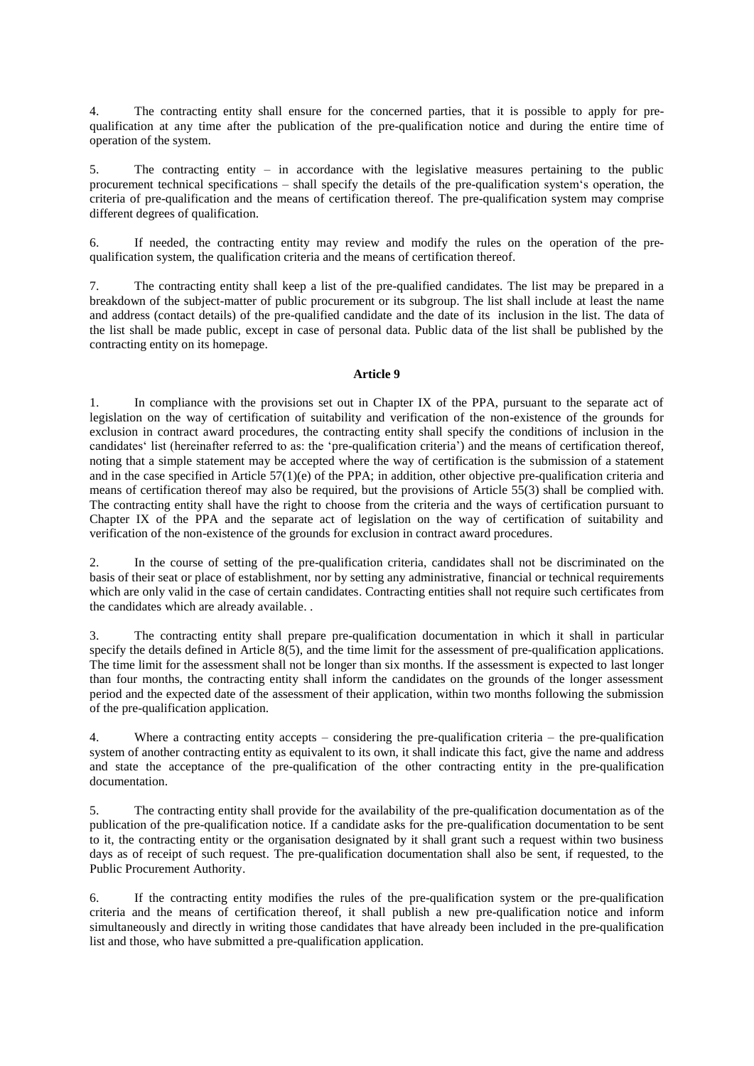4. The contracting entity shall ensure for the concerned parties, that it is possible to apply for prequalification at any time after the publication of the pre-qualification notice and during the entire time of operation of the system.

5. The contracting entity – in accordance with the legislative measures pertaining to the public procurement technical specifications – shall specify the details of the pre-qualification system's operation, the criteria of pre-qualification and the means of certification thereof. The pre-qualification system may comprise different degrees of qualification.

6. If needed, the contracting entity may review and modify the rules on the operation of the prequalification system, the qualification criteria and the means of certification thereof.

7. The contracting entity shall keep a list of the pre-qualified candidates. The list may be prepared in a breakdown of the subject-matter of public procurement or its subgroup. The list shall include at least the name and address (contact details) of the pre-qualified candidate and the date of its inclusion in the list. The data of the list shall be made public, except in case of personal data. Public data of the list shall be published by the contracting entity on its homepage.

#### **Article 9**

1. In compliance with the provisions set out in Chapter IX of the PPA, pursuant to the separate act of legislation on the way of certification of suitability and verification of the non-existence of the grounds for exclusion in contract award procedures, the contracting entity shall specify the conditions of inclusion in the candidates' list (hereinafter referred to as: the 'pre-qualification criteria') and the means of certification thereof, noting that a simple statement may be accepted where the way of certification is the submission of a statement and in the case specified in Article  $57(1)(e)$  of the PPA; in addition, other objective pre-qualification criteria and means of certification thereof may also be required, but the provisions of Article 55(3) shall be complied with. The contracting entity shall have the right to choose from the criteria and the ways of certification pursuant to Chapter IX of the PPA and the separate act of legislation on the way of certification of suitability and verification of the non-existence of the grounds for exclusion in contract award procedures.

2. In the course of setting of the pre-qualification criteria, candidates shall not be discriminated on the basis of their seat or place of establishment, nor by setting any administrative, financial or technical requirements which are only valid in the case of certain candidates. Contracting entities shall not require such certificates from the candidates which are already available. .

3. The contracting entity shall prepare pre-qualification documentation in which it shall in particular specify the details defined in Article 8(5), and the time limit for the assessment of pre-qualification applications. The time limit for the assessment shall not be longer than six months. If the assessment is expected to last longer than four months, the contracting entity shall inform the candidates on the grounds of the longer assessment period and the expected date of the assessment of their application, within two months following the submission of the pre-qualification application.

4. Where a contracting entity accepts – considering the pre-qualification criteria – the pre-qualification system of another contracting entity as equivalent to its own, it shall indicate this fact, give the name and address and state the acceptance of the pre-qualification of the other contracting entity in the pre-qualification documentation.

5. The contracting entity shall provide for the availability of the pre-qualification documentation as of the publication of the pre-qualification notice. If a candidate asks for the pre-qualification documentation to be sent to it, the contracting entity or the organisation designated by it shall grant such a request within two business days as of receipt of such request. The pre-qualification documentation shall also be sent, if requested, to the Public Procurement Authority.

6. If the contracting entity modifies the rules of the pre-qualification system or the pre-qualification criteria and the means of certification thereof, it shall publish a new pre-qualification notice and inform simultaneously and directly in writing those candidates that have already been included in the pre-qualification list and those, who have submitted a pre-qualification application.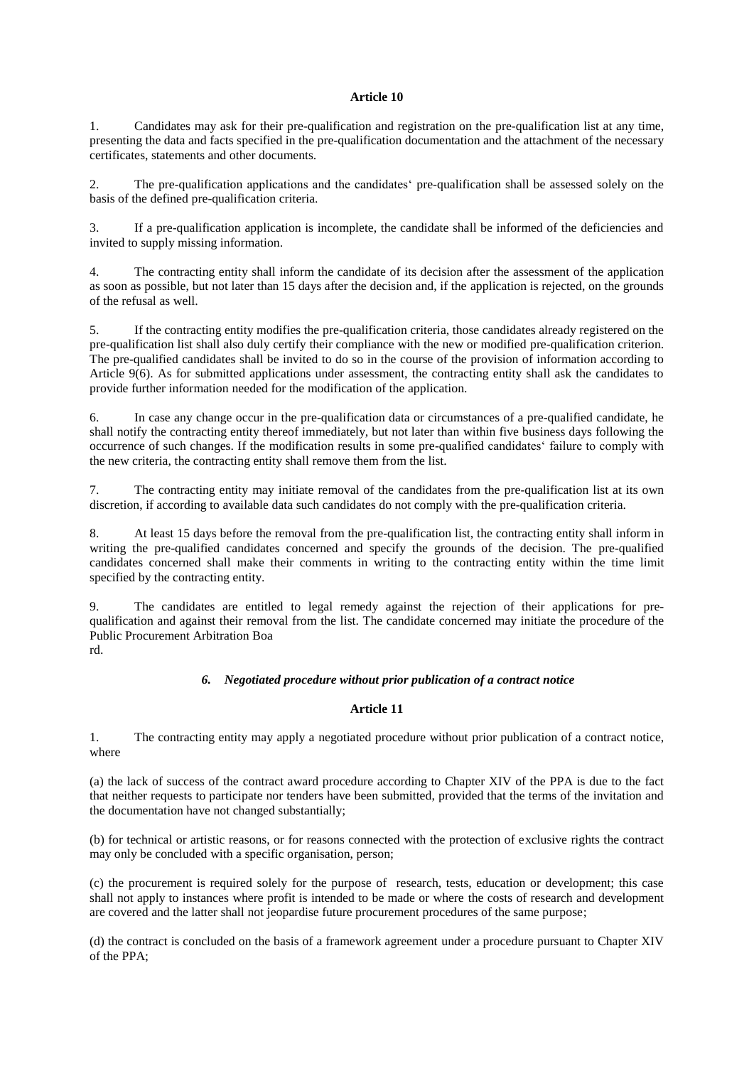#### **Article 10**

1. Candidates may ask for their pre-qualification and registration on the pre-qualification list at any time, presenting the data and facts specified in the pre-qualification documentation and the attachment of the necessary certificates, statements and other documents.

2. The pre-qualification applications and the candidates' pre-qualification shall be assessed solely on the basis of the defined pre-qualification criteria.

3. If a pre-qualification application is incomplete, the candidate shall be informed of the deficiencies and invited to supply missing information.

4. The contracting entity shall inform the candidate of its decision after the assessment of the application as soon as possible, but not later than 15 days after the decision and, if the application is rejected, on the grounds of the refusal as well.

5. If the contracting entity modifies the pre-qualification criteria, those candidates already registered on the pre-qualification list shall also duly certify their compliance with the new or modified pre-qualification criterion. The pre-qualified candidates shall be invited to do so in the course of the provision of information according to Article 9(6). As for submitted applications under assessment, the contracting entity shall ask the candidates to provide further information needed for the modification of the application.

6. In case any change occur in the pre-qualification data or circumstances of a pre-qualified candidate, he shall notify the contracting entity thereof immediately, but not later than within five business days following the occurrence of such changes. If the modification results in some pre-qualified candidates' failure to comply with the new criteria, the contracting entity shall remove them from the list.

7. The contracting entity may initiate removal of the candidates from the pre-qualification list at its own discretion, if according to available data such candidates do not comply with the pre-qualification criteria.

8. At least 15 days before the removal from the pre-qualification list, the contracting entity shall inform in writing the pre-qualified candidates concerned and specify the grounds of the decision. The pre-qualified candidates concerned shall make their comments in writing to the contracting entity within the time limit specified by the contracting entity.

9. The candidates are entitled to legal remedy against the rejection of their applications for prequalification and against their removal from the list. The candidate concerned may initiate the procedure of the Public Procurement Arbitration Boa rd.

## *6. Negotiated procedure without prior publication of a contract notice*

# **Article 11**

1. The contracting entity may apply a negotiated procedure without prior publication of a contract notice, where

(a) the lack of success of the contract award procedure according to Chapter XIV of the PPA is due to the fact that neither requests to participate nor tenders have been submitted, provided that the terms of the invitation and the documentation have not changed substantially;

(b) for technical or artistic reasons, or for reasons connected with the protection of exclusive rights the contract may only be concluded with a specific organisation, person;

(c) the procurement is required solely for the purpose of research, tests, education or development; this case shall not apply to instances where profit is intended to be made or where the costs of research and development are covered and the latter shall not jeopardise future procurement procedures of the same purpose;

(d) the contract is concluded on the basis of a framework agreement under a procedure pursuant to Chapter XIV of the PPA;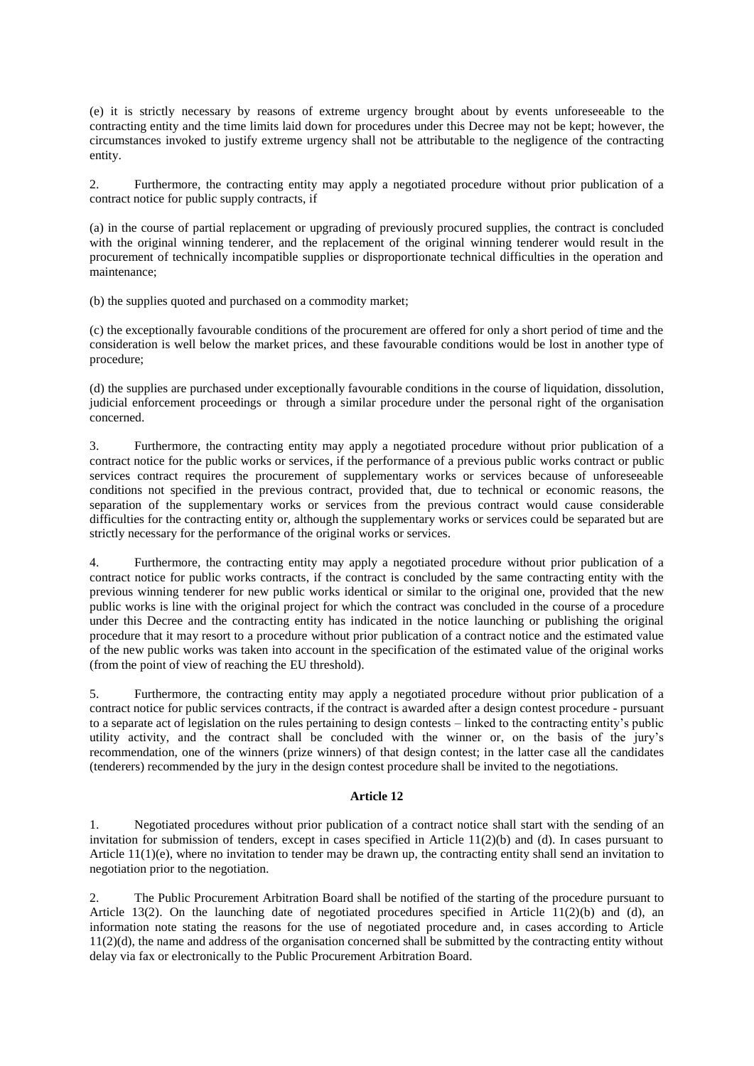(e) it is strictly necessary by reasons of extreme urgency brought about by events unforeseeable to the contracting entity and the time limits laid down for procedures under this Decree may not be kept; however, the circumstances invoked to justify extreme urgency shall not be attributable to the negligence of the contracting entity.

2. Furthermore, the contracting entity may apply a negotiated procedure without prior publication of a contract notice for public supply contracts, if

(a) in the course of partial replacement or upgrading of previously procured supplies, the contract is concluded with the original winning tenderer, and the replacement of the original winning tenderer would result in the procurement of technically incompatible supplies or disproportionate technical difficulties in the operation and maintenance;

(b) the supplies quoted and purchased on a commodity market;

(c) the exceptionally favourable conditions of the procurement are offered for only a short period of time and the consideration is well below the market prices, and these favourable conditions would be lost in another type of procedure;

(d) the supplies are purchased under exceptionally favourable conditions in the course of liquidation, dissolution, judicial enforcement proceedings or through a similar procedure under the personal right of the organisation concerned.

3. Furthermore, the contracting entity may apply a negotiated procedure without prior publication of a contract notice for the public works or services, if the performance of a previous public works contract or public services contract requires the procurement of supplementary works or services because of unforeseeable conditions not specified in the previous contract, provided that, due to technical or economic reasons, the separation of the supplementary works or services from the previous contract would cause considerable difficulties for the contracting entity or, although the supplementary works or services could be separated but are strictly necessary for the performance of the original works or services.

4. Furthermore, the contracting entity may apply a negotiated procedure without prior publication of a contract notice for public works contracts, if the contract is concluded by the same contracting entity with the previous winning tenderer for new public works identical or similar to the original one, provided that the new public works is line with the original project for which the contract was concluded in the course of a procedure under this Decree and the contracting entity has indicated in the notice launching or publishing the original procedure that it may resort to a procedure without prior publication of a contract notice and the estimated value of the new public works was taken into account in the specification of the estimated value of the original works (from the point of view of reaching the EU threshold).

5. Furthermore, the contracting entity may apply a negotiated procedure without prior publication of a contract notice for public services contracts, if the contract is awarded after a design contest procedure - pursuant to a separate act of legislation on the rules pertaining to design contests – linked to the contracting entity's public utility activity, and the contract shall be concluded with the winner or, on the basis of the jury's recommendation, one of the winners (prize winners) of that design contest; in the latter case all the candidates (tenderers) recommended by the jury in the design contest procedure shall be invited to the negotiations.

# **Article 12**

1. Negotiated procedures without prior publication of a contract notice shall start with the sending of an invitation for submission of tenders, except in cases specified in Article 11(2)(b) and (d). In cases pursuant to Article  $11(1)(e)$ , where no invitation to tender may be drawn up, the contracting entity shall send an invitation to negotiation prior to the negotiation.

2. The Public Procurement Arbitration Board shall be notified of the starting of the procedure pursuant to Article 13(2). On the launching date of negotiated procedures specified in Article 11(2)(b) and (d), an information note stating the reasons for the use of negotiated procedure and, in cases according to Article  $11(2)(d)$ , the name and address of the organisation concerned shall be submitted by the contracting entity without delay via fax or electronically to the Public Procurement Arbitration Board.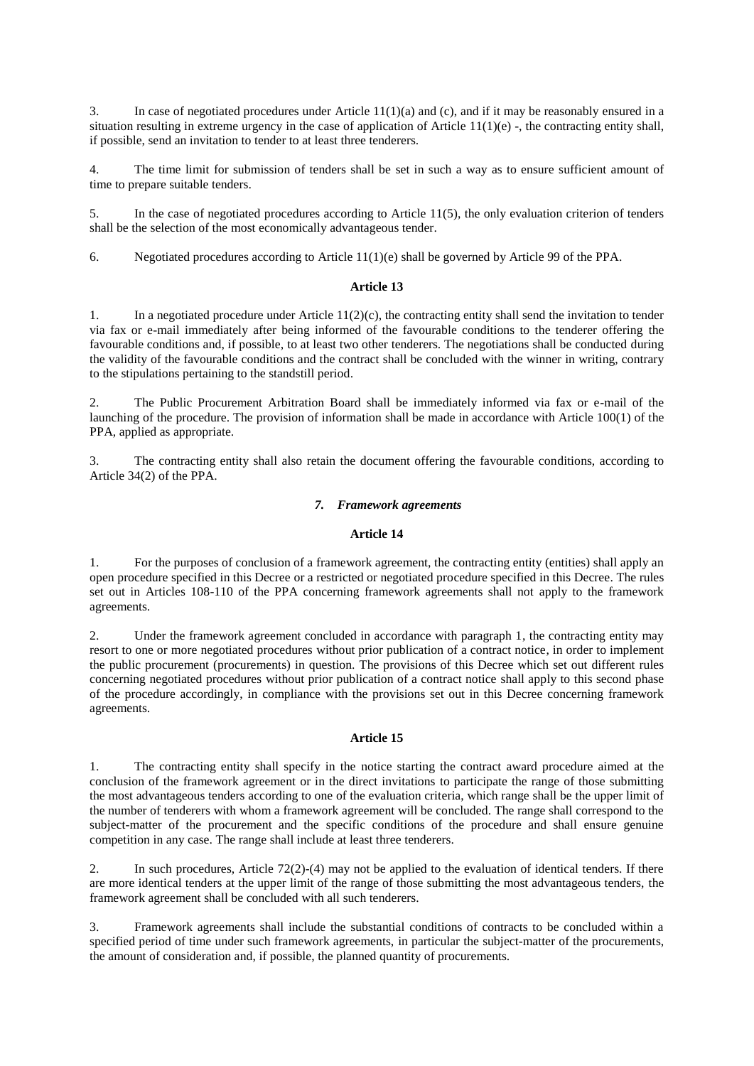3. In case of negotiated procedures under Article  $11(1)(a)$  and (c), and if it may be reasonably ensured in a situation resulting in extreme urgency in the case of application of Article  $11(1)(e)$ , the contracting entity shall, if possible, send an invitation to tender to at least three tenderers.

4. The time limit for submission of tenders shall be set in such a way as to ensure sufficient amount of time to prepare suitable tenders.

5. In the case of negotiated procedures according to Article 11(5), the only evaluation criterion of tenders shall be the selection of the most economically advantageous tender.

6. Negotiated procedures according to Article 11(1)(e) shall be governed by Article 99 of the PPA.

# **Article 13**

1. In a negotiated procedure under Article 11(2)(c), the contracting entity shall send the invitation to tender via fax or e-mail immediately after being informed of the favourable conditions to the tenderer offering the favourable conditions and, if possible, to at least two other tenderers. The negotiations shall be conducted during the validity of the favourable conditions and the contract shall be concluded with the winner in writing, contrary to the stipulations pertaining to the standstill period.

2. The Public Procurement Arbitration Board shall be immediately informed via fax or e-mail of the launching of the procedure. The provision of information shall be made in accordance with Article 100(1) of the PPA, applied as appropriate.

3. The contracting entity shall also retain the document offering the favourable conditions, according to Article 34(2) of the PPA.

### *7. Framework agreements*

#### **Article 14**

1. For the purposes of conclusion of a framework agreement, the contracting entity (entities) shall apply an open procedure specified in this Decree or a restricted or negotiated procedure specified in this Decree. The rules set out in Articles 108-110 of the PPA concerning framework agreements shall not apply to the framework agreements.

2. Under the framework agreement concluded in accordance with paragraph 1, the contracting entity may resort to one or more negotiated procedures without prior publication of a contract notice, in order to implement the public procurement (procurements) in question. The provisions of this Decree which set out different rules concerning negotiated procedures without prior publication of a contract notice shall apply to this second phase of the procedure accordingly, in compliance with the provisions set out in this Decree concerning framework agreements.

#### **Article 15**

1. The contracting entity shall specify in the notice starting the contract award procedure aimed at the conclusion of the framework agreement or in the direct invitations to participate the range of those submitting the most advantageous tenders according to one of the evaluation criteria, which range shall be the upper limit of the number of tenderers with whom a framework agreement will be concluded. The range shall correspond to the subject-matter of the procurement and the specific conditions of the procedure and shall ensure genuine competition in any case. The range shall include at least three tenderers.

2. In such procedures, Article 72(2)-(4) may not be applied to the evaluation of identical tenders. If there are more identical tenders at the upper limit of the range of those submitting the most advantageous tenders, the framework agreement shall be concluded with all such tenderers.

3. Framework agreements shall include the substantial conditions of contracts to be concluded within a specified period of time under such framework agreements, in particular the subject-matter of the procurements, the amount of consideration and, if possible, the planned quantity of procurements.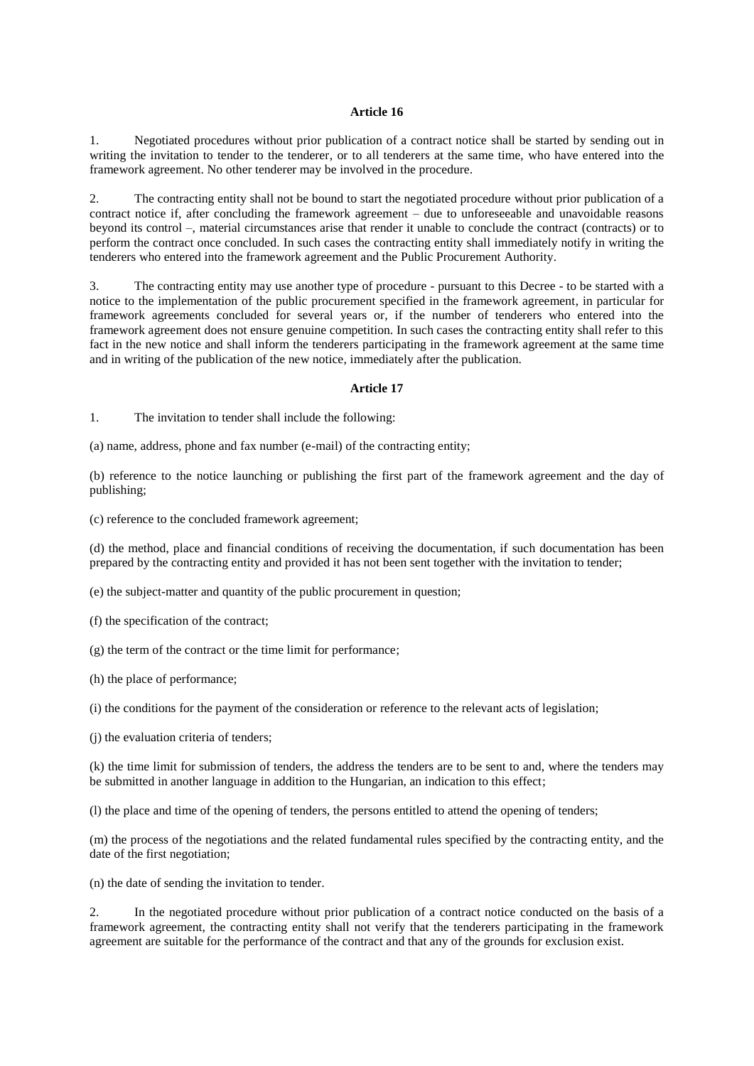#### **Article 16**

1. Negotiated procedures without prior publication of a contract notice shall be started by sending out in writing the invitation to tender to the tenderer, or to all tenderers at the same time, who have entered into the framework agreement. No other tenderer may be involved in the procedure.

2. The contracting entity shall not be bound to start the negotiated procedure without prior publication of a contract notice if, after concluding the framework agreement – due to unforeseeable and unavoidable reasons beyond its control –, material circumstances arise that render it unable to conclude the contract (contracts) or to perform the contract once concluded. In such cases the contracting entity shall immediately notify in writing the tenderers who entered into the framework agreement and the Public Procurement Authority.

3. The contracting entity may use another type of procedure - pursuant to this Decree - to be started with a notice to the implementation of the public procurement specified in the framework agreement, in particular for framework agreements concluded for several years or, if the number of tenderers who entered into the framework agreement does not ensure genuine competition. In such cases the contracting entity shall refer to this fact in the new notice and shall inform the tenderers participating in the framework agreement at the same time and in writing of the publication of the new notice, immediately after the publication.

#### **Article 17**

1. The invitation to tender shall include the following:

(a) name, address, phone and fax number (e-mail) of the contracting entity;

(b) reference to the notice launching or publishing the first part of the framework agreement and the day of publishing;

(c) reference to the concluded framework agreement;

(d) the method, place and financial conditions of receiving the documentation, if such documentation has been prepared by the contracting entity and provided it has not been sent together with the invitation to tender;

(e) the subject-matter and quantity of the public procurement in question;

(f) the specification of the contract;

(g) the term of the contract or the time limit for performance;

(h) the place of performance;

(i) the conditions for the payment of the consideration or reference to the relevant acts of legislation;

(j) the evaluation criteria of tenders;

(k) the time limit for submission of tenders, the address the tenders are to be sent to and, where the tenders may be submitted in another language in addition to the Hungarian, an indication to this effect;

(l) the place and time of the opening of tenders, the persons entitled to attend the opening of tenders;

(m) the process of the negotiations and the related fundamental rules specified by the contracting entity, and the date of the first negotiation;

(n) the date of sending the invitation to tender.

2. In the negotiated procedure without prior publication of a contract notice conducted on the basis of a framework agreement, the contracting entity shall not verify that the tenderers participating in the framework agreement are suitable for the performance of the contract and that any of the grounds for exclusion exist.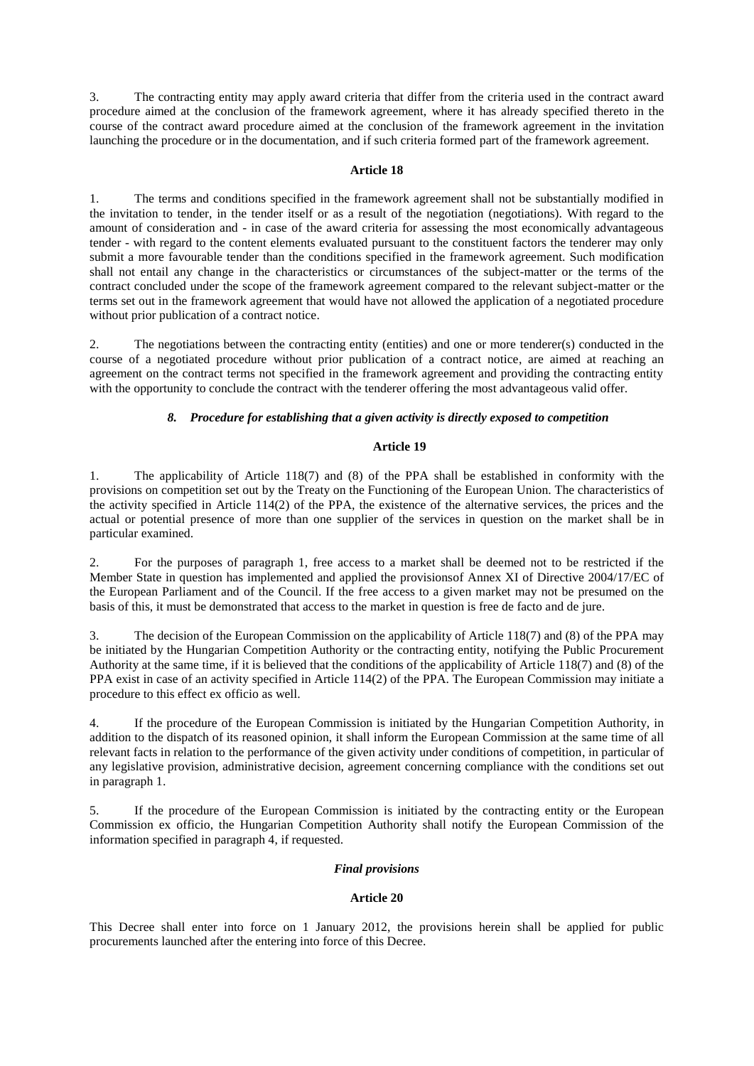3. The contracting entity may apply award criteria that differ from the criteria used in the contract award procedure aimed at the conclusion of the framework agreement, where it has already specified thereto in the course of the contract award procedure aimed at the conclusion of the framework agreement in the invitation launching the procedure or in the documentation, and if such criteria formed part of the framework agreement.

## **Article 18**

1. The terms and conditions specified in the framework agreement shall not be substantially modified in the invitation to tender, in the tender itself or as a result of the negotiation (negotiations). With regard to the amount of consideration and - in case of the award criteria for assessing the most economically advantageous tender - with regard to the content elements evaluated pursuant to the constituent factors the tenderer may only submit a more favourable tender than the conditions specified in the framework agreement. Such modification shall not entail any change in the characteristics or circumstances of the subject-matter or the terms of the contract concluded under the scope of the framework agreement compared to the relevant subject-matter or the terms set out in the framework agreement that would have not allowed the application of a negotiated procedure without prior publication of a contract notice.

2. The negotiations between the contracting entity (entities) and one or more tenderer(s) conducted in the course of a negotiated procedure without prior publication of a contract notice, are aimed at reaching an agreement on the contract terms not specified in the framework agreement and providing the contracting entity with the opportunity to conclude the contract with the tenderer offering the most advantageous valid offer.

# *8. Procedure for establishing that a given activity is directly exposed to competition*

## **Article 19**

1. The applicability of Article 118(7) and (8) of the PPA shall be established in conformity with the provisions on competition set out by the Treaty on the Functioning of the European Union. The characteristics of the activity specified in Article 114(2) of the PPA, the existence of the alternative services, the prices and the actual or potential presence of more than one supplier of the services in question on the market shall be in particular examined.

2. For the purposes of paragraph 1, free access to a market shall be deemed not to be restricted if the Member State in question has implemented and applied the provisionsof Annex XI of Directive 2004/17/EC of the European Parliament and of the Council. If the free access to a given market may not be presumed on the basis of this, it must be demonstrated that access to the market in question is free de facto and de jure.

3. The decision of the European Commission on the applicability of Article 118(7) and (8) of the PPA may be initiated by the Hungarian Competition Authority or the contracting entity, notifying the Public Procurement Authority at the same time, if it is believed that the conditions of the applicability of Article 118(7) and (8) of the PPA exist in case of an activity specified in Article 114(2) of the PPA. The European Commission may initiate a procedure to this effect ex officio as well.

4. If the procedure of the European Commission is initiated by the Hungarian Competition Authority, in addition to the dispatch of its reasoned opinion, it shall inform the European Commission at the same time of all relevant facts in relation to the performance of the given activity under conditions of competition, in particular of any legislative provision, administrative decision, agreement concerning compliance with the conditions set out in paragraph 1.

5. If the procedure of the European Commission is initiated by the contracting entity or the European Commission ex officio, the Hungarian Competition Authority shall notify the European Commission of the information specified in paragraph 4, if requested.

## *Final provisions*

## **Article 20**

This Decree shall enter into force on 1 January 2012, the provisions herein shall be applied for public procurements launched after the entering into force of this Decree.